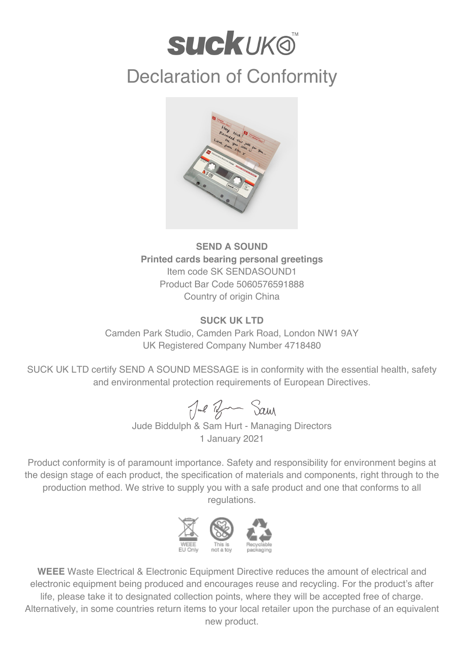## **suckuk®** Declaration of Conformity



**SEND A SOUND Printed cards bearing personal greetings** Item code SK SENDASOUND1 Product Bar Code 5060576591888 Country of origin China

## **SUCK UK LTD**

Camden Park Studio, Camden Park Road, London NW1 9AY UK Registered Company Number 4718480

SUCK UK LTD certify SEND A SOUND MESSAGE is in conformity with the essential health, safety and environmental protection requirements of European Directives.

Jul Ban Sam

Jude Biddulph & Sam Hurt - Managing Directors 1 January 2021

Product conformity is of paramount importance. Safety and responsibility for environment begins at the design stage of each product, the specification of materials and components, right through to the production method. We strive to supply you with a safe product and one that conforms to all regulations.



**WEEE** Waste Electrical & Electronic Equipment Directive reduces the amount of electrical and electronic equipment being produced and encourages reuse and recycling. For the product's after life, please take it to designated collection points, where they will be accepted free of charge. Alternatively, in some countries return items to your local retailer upon the purchase of an equivalent new product.